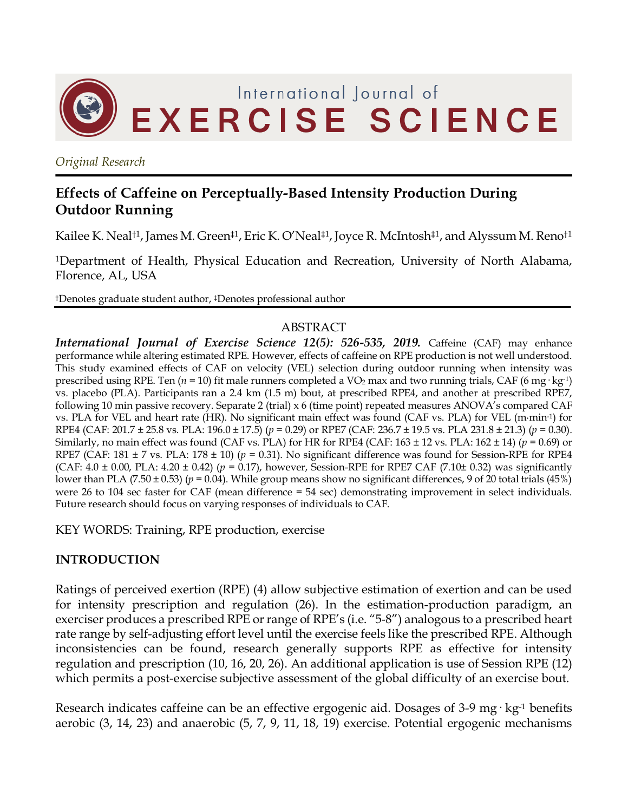

*Original Research*

# **Effects of Caffeine on Perceptually-Based Intensity Production During Outdoor Running**

Kailee K. Neal<sup>†1</sup>, James M. Green<sup>‡1</sup>, Eric K. O'Neal<sup>‡1</sup>, Joyce R. McIntosh<sup>‡1</sup>, and Alyssum M. Reno<sup>†1</sup>

1Department of Health, Physical Education and Recreation, University of North Alabama, Florence, AL, USA

†Denotes graduate student author, ‡Denotes professional author

#### ABSTRACT

*International Journal of Exercise Science 12(5): 526-535, 2019.* Caffeine (CAF) may enhance performance while altering estimated RPE. However, effects of caffeine on RPE production is not well understood. This study examined effects of CAF on velocity (VEL) selection during outdoor running when intensity was prescribed using RPE. Ten ( $n = 10$ ) fit male runners completed a VO<sub>2</sub> max and two running trials, CAF (6 mg·kg<sup>-1</sup>) vs. placebo (PLA). Participants ran a 2.4 km (1.5 m) bout, at prescribed RPE4, and another at prescribed RPE7, following 10 min passive recovery. Separate 2 (trial) x 6 (time point) repeated measures ANOVA's compared CAF vs. PLA for VEL and heart rate (HR). No significant main effect was found (CAF vs. PLA) for VEL (m·min-1) for RPE4 (CAF: 201.7 ± 25.8 vs. PLA: 196.0 ± 17.5) (*p* = 0.29) or RPE7 (CAF: 236.7 ± 19.5 vs. PLA 231.8 ± 21.3) (*p* = 0.30). Similarly, no main effect was found (CAF vs. PLA) for HR for RPE4 (CAF:  $163 \pm 12$  vs. PLA:  $162 \pm 14$ ) ( $p = 0.69$ ) or RPE7 (CAF: 181 ± 7 vs. PLA: 178 ± 10) (*p* = 0.31). No significant difference was found for Session-RPE for RPE4 (CAF:  $4.0 \pm 0.00$ , PLA:  $4.20 \pm 0.42$ ) ( $p = 0.17$ ), however, Session-RPE for RPE7 CAF (7.10 $\pm$  0.32) was significantly lower than PLA (7.50 ± 0.53) (*p* = 0.04). While group means show no significant differences, 9 of 20 total trials (45%) were 26 to 104 sec faster for CAF (mean difference = 54 sec) demonstrating improvement in select individuals. Future research should focus on varying responses of individuals to CAF.

KEY WORDS: Training, RPE production, exercise

### **INTRODUCTION**

Ratings of perceived exertion (RPE) (4) allow subjective estimation of exertion and can be used for intensity prescription and regulation (26). In the estimation-production paradigm, an exerciser produces a prescribed RPE or range of RPE's (i.e. "5-8") analogous to a prescribed heart rate range by self-adjusting effort level until the exercise feels like the prescribed RPE. Although inconsistencies can be found, research generally supports RPE as effective for intensity regulation and prescription (10, 16, 20, 26). An additional application is use of Session RPE (12) which permits a post-exercise subjective assessment of the global difficulty of an exercise bout.

Research indicates caffeine can be an effective ergogenic aid. Dosages of 3-9 mg·  $kg<sup>-1</sup>$  benefits aerobic (3, 14, 23) and anaerobic (5, 7, 9, 11, 18, 19) exercise. Potential ergogenic mechanisms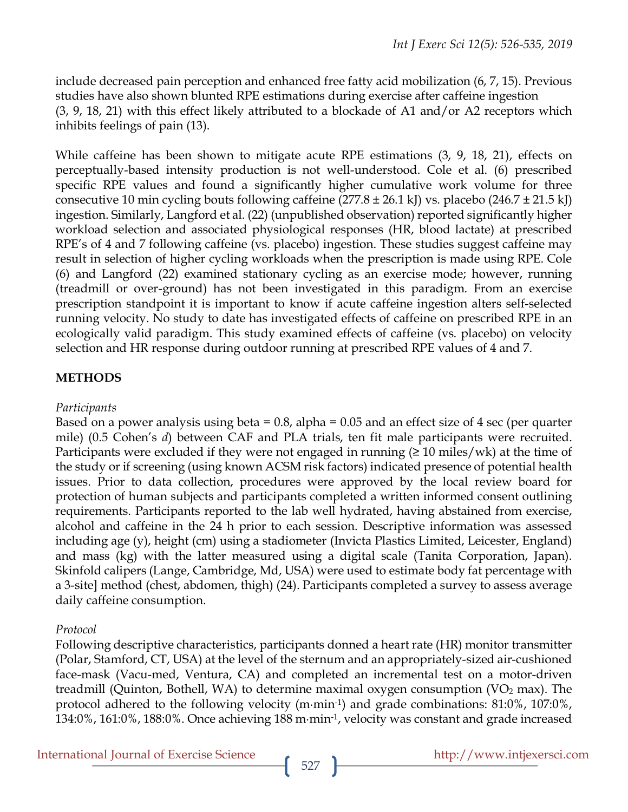include decreased pain perception and enhanced free fatty acid mobilization (6, 7, 15). Previous studies have also shown blunted RPE estimations during exercise after caffeine ingestion (3, 9, 18, 21) with this effect likely attributed to a blockade of A1 and/or A2 receptors which inhibits feelings of pain (13).

While caffeine has been shown to mitigate acute RPE estimations (3, 9, 18, 21), effects on perceptually-based intensity production is not well-understood. Cole et al. (6) prescribed specific RPE values and found a significantly higher cumulative work volume for three consecutive 10 min cycling bouts following caffeine  $(277.8 \pm 26.1 \text{ kJ})$  vs. placebo  $(246.7 \pm 21.5 \text{ kJ})$ ingestion. Similarly, Langford et al. (22) (unpublished observation) reported significantly higher workload selection and associated physiological responses (HR, blood lactate) at prescribed RPE's of 4 and 7 following caffeine (vs. placebo) ingestion. These studies suggest caffeine may result in selection of higher cycling workloads when the prescription is made using RPE. Cole (6) and Langford (22) examined stationary cycling as an exercise mode; however, running (treadmill or over-ground) has not been investigated in this paradigm. From an exercise prescription standpoint it is important to know if acute caffeine ingestion alters self-selected running velocity. No study to date has investigated effects of caffeine on prescribed RPE in an ecologically valid paradigm. This study examined effects of caffeine (vs. placebo) on velocity selection and HR response during outdoor running at prescribed RPE values of 4 and 7.

# **METHODS**

### *Participants*

Based on a power analysis using beta  $= 0.8$ , alpha  $= 0.05$  and an effect size of 4 sec (per quarter mile) (0.5 Cohen's *d*) between CAF and PLA trials, ten fit male participants were recruited. Participants were excluded if they were not engaged in running  $(≥ 10$  miles/wk) at the time of the study or if screening (using known ACSM risk factors) indicated presence of potential health issues. Prior to data collection, procedures were approved by the local review board for protection of human subjects and participants completed a written informed consent outlining requirements. Participants reported to the lab well hydrated, having abstained from exercise, alcohol and caffeine in the 24 h prior to each session. Descriptive information was assessed including age (y), height (cm) using a stadiometer (Invicta Plastics Limited, Leicester, England) and mass (kg) with the latter measured using a digital scale (Tanita Corporation, Japan). Skinfold calipers (Lange, Cambridge, Md, USA) were used to estimate body fat percentage with a 3-site] method (chest, abdomen, thigh) (24). Participants completed a survey to assess average daily caffeine consumption.

# *Protocol*

Following descriptive characteristics, participants donned a heart rate (HR) monitor transmitter (Polar, Stamford, CT, USA) at the level of the sternum and an appropriately-sized air-cushioned face-mask (Vacu-med, Ventura, CA) and completed an incremental test on a motor-driven treadmill (Quinton, Bothell, WA) to determine maximal oxygen consumption ( $VO<sub>2</sub>$  max). The protocol adhered to the following velocity (m·min-1) and grade combinations: 81:0%, 107:0%, 134:0%, 161:0%, 188:0%. Once achieving 188 m·min-1, velocity was constant and grade increased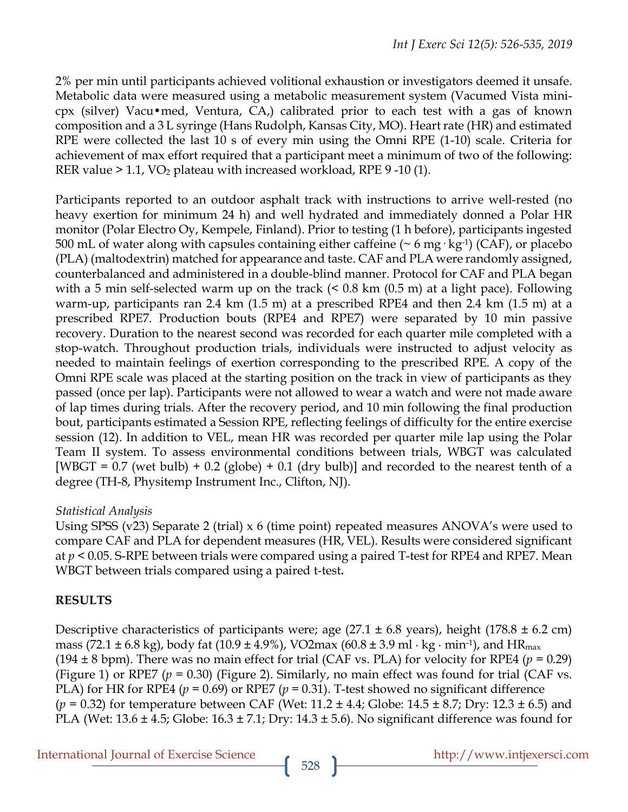2% per min until participants achieved volitional exhaustion or investigators deemed it unsafe. Metabolic data were measured using a metabolic measurement system (Vacumed Vista minicpx (silver) Vacu•med, Ventura, CA,) calibrated prior to each test with a gas of known composition and a 3 L syringe (Hans Rudolph, Kansas City, MO). Heart rate (HR) and estimated RPE were collected the last 10 s of every min using the Omni RPE (1-10) scale. Criteria for achievement of max effort required that a participant meet a minimum of two of the following: RER value  $> 1.1$ , VO<sub>2</sub> plateau with increased workload, RPE  $9 - 10(1)$ .

Participants reported to an outdoor asphalt track with instructions to arrive well-rested (no heavy exertion for minimum 24 h) and well hydrated and immediately donned a Polar HR monitor (Polar Electro Oy, Kempele, Finland). Prior to testing (1 h before), participants ingested 500 mL of water along with capsules containing either caffeine ( $\sim$  6 mg·kg<sup>-1</sup>) (CAF), or placebo (PLA) (maltodextrin) matched for appearance and taste. CAF and PLA were randomly assigned, counterbalanced and administered in a double-blind manner. Protocol for CAF and PLA began with a 5 min self-selected warm up on the track (< 0.8 km (0.5 m) at a light pace). Following warm-up, participants ran 2.4 km (1.5 m) at a prescribed RPE4 and then 2.4 km (1.5 m) at a prescribed RPE7. Production bouts (RPE4 and RPE7) were separated by 10 min passive recovery. Duration to the nearest second was recorded for each quarter mile completed with a stop-watch. Throughout production trials, individuals were instructed to adjust velocity as needed to maintain feelings of exertion corresponding to the prescribed RPE. A copy of the Omni RPE scale was placed at the starting position on the track in view of participants as they passed (once per lap). Participants were not allowed to wear a watch and were not made aware of lap times during trials. After the recovery period, and 10 min following the final production bout, participants estimated a Session RPE, reflecting feelings of difficulty for the entire exercise session (12). In addition to VEL, mean HR was recorded per quarter mile lap using the Polar Team II system. To assess environmental conditions between trials, WBGT was calculated  $[WBGT = 0.7$  (wet bulb) + 0.2 (globe) + 0.1 (dry bulb)] and recorded to the nearest tenth of a degree (TH-8, Physitemp Instrument Inc., Clifton, NJ).

### *Statistical Analysis*

Using SPSS (v23) Separate 2 (trial) x 6 (time point) repeated measures ANOVA's were used to compare CAF and PLA for dependent measures (HR, VEL). Results were considered significant at *p* < 0.05. S-RPE between trials were compared using a paired T-test for RPE4 and RPE7. Mean WBGT between trials compared using a paired t-test**.**

### **RESULTS**

Descriptive characteristics of participants were; age  $(27.1 \pm 6.8 \text{ years})$ , height  $(178.8 \pm 6.2 \text{ cm})$ mass (72.1  $\pm$  6.8 kg), body fat (10.9  $\pm$  4.9%), VO2max (60.8  $\pm$  3.9 ml  $\cdot$  kg $\cdot$  min<sup>-1</sup>), and HR<sub>max</sub> (194  $\pm$  8 bpm). There was no main effect for trial (CAF vs. PLA) for velocity for RPE4 ( $p = 0.29$ ) (Figure 1) or RPE7 ( $p = 0.30$ ) (Figure 2). Similarly, no main effect was found for trial (CAF vs. PLA) for HR for RPE4 ( $p = 0.69$ ) or RPE7 ( $p = 0.31$ ). T-test showed no significant difference  $(p = 0.32)$  for temperature between CAF (Wet: 11.2  $\pm$  4.4; Globe: 14.5  $\pm$  8.7; Dry: 12.3  $\pm$  6.5) and PLA (Wet: 13.6  $\pm$  4.5; Globe: 16.3  $\pm$  7.1; Dry: 14.3  $\pm$  5.6). No significant difference was found for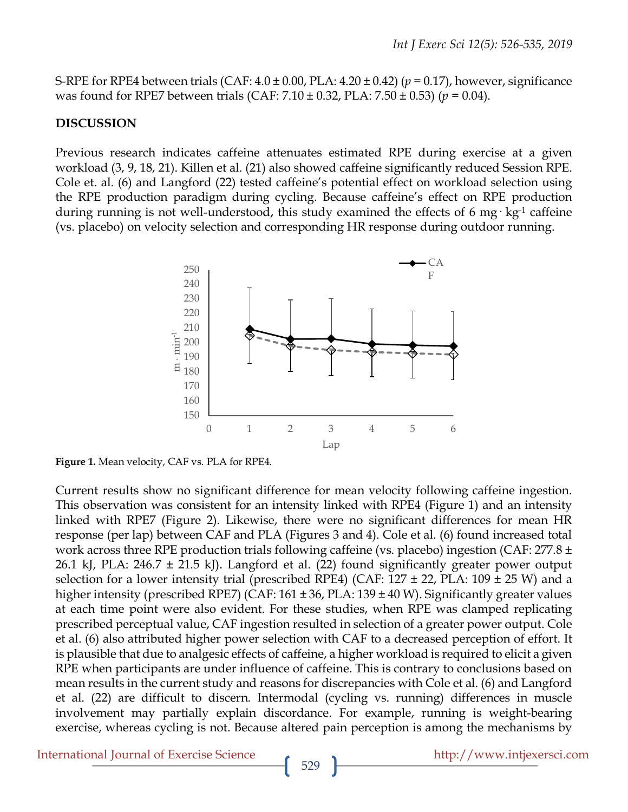S-RPE for RPE4 between trials (CAF: 4.0 ± 0.00, PLA: 4.20 ± 0.42) (*p* = 0.17), however, significance was found for RPE7 between trials (CAF: 7.10 ± 0.32, PLA: 7.50 ± 0.53) (*p* = 0.04).

#### **DISCUSSION**

Previous research indicates caffeine attenuates estimated RPE during exercise at a given workload (3, 9, 18, 21). Killen et al. (21) also showed caffeine significantly reduced Session RPE. Cole et. al. (6) and Langford (22) tested caffeine's potential effect on workload selection using the RPE production paradigm during cycling. Because caffeine's effect on RPE production during running is not well-understood, this study examined the effects of 6 mg· kg<sup>-1</sup> caffeine (vs. placebo) on velocity selection and corresponding HR response during outdoor running.



**Figure 1.** Mean velocity, CAF vs. PLA for RPE4.

Current results show no significant difference for mean velocity following caffeine ingestion. This observation was consistent for an intensity linked with RPE4 (Figure 1) and an intensity linked with RPE7 (Figure 2). Likewise, there were no significant differences for mean HR response (per lap) between CAF and PLA (Figures 3 and 4). Cole et al. (6) found increased total work across three RPE production trials following caffeine (vs. placebo) ingestion (CAF: 277.8 ± 26.1 kJ, PLA:  $246.7 \pm 21.5$  kJ). Langford et al. (22) found significantly greater power output selection for a lower intensity trial (prescribed RPE4) (CAF:  $127 \pm 22$ , PLA:  $109 \pm 25$  W) and a higher intensity (prescribed RPE7) (CAF: 161 ± 36, PLA: 139 ± 40 W). Significantly greater values at each time point were also evident. For these studies, when RPE was clamped replicating prescribed perceptual value, CAF ingestion resulted in selection of a greater power output. Cole et al. (6) also attributed higher power selection with CAF to a decreased perception of effort. It is plausible that due to analgesic effects of caffeine, a higher workload is required to elicit a given RPE when participants are under influence of caffeine. This is contrary to conclusions based on mean results in the current study and reasons for discrepancies with Cole et al. (6) and Langford et al. (22) are difficult to discern. Intermodal (cycling vs. running) differences in muscle involvement may partially explain discordance. For example, running is weight-bearing exercise, whereas cycling is not. Because altered pain perception is among the mechanisms by

International Journal of Exercise Science http://www.intjexersci.com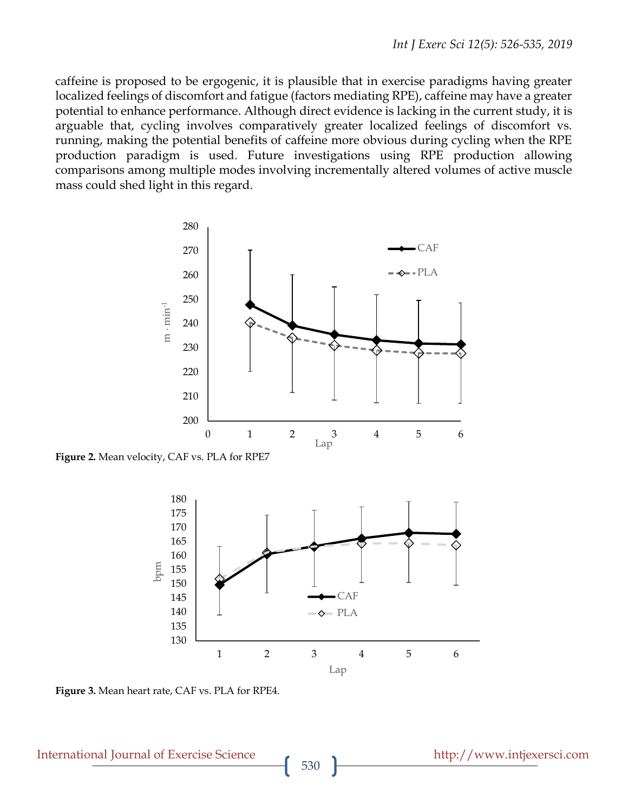caffeine is proposed to be ergogenic, it is plausible that in exercise paradigms having greater localized feelings of discomfort and fatigue (factors mediating RPE), caffeine may have a greater potential to enhance performance. Although direct evidence is lacking in the current study, it is arguable that, cycling involves comparatively greater localized feelings of discomfort vs. running, making the potential benefits of caffeine more obvious during cycling when the RPE production paradigm is used. Future investigations using RPE production allowing comparisons among multiple modes involving incrementally altered volumes of active muscle mass could shed light in this regard.



**Figure 2.** Mean velocity, CAF vs. PLA for RPE7



**Figure 3.** Mean heart rate, CAF vs. PLA for RPE4.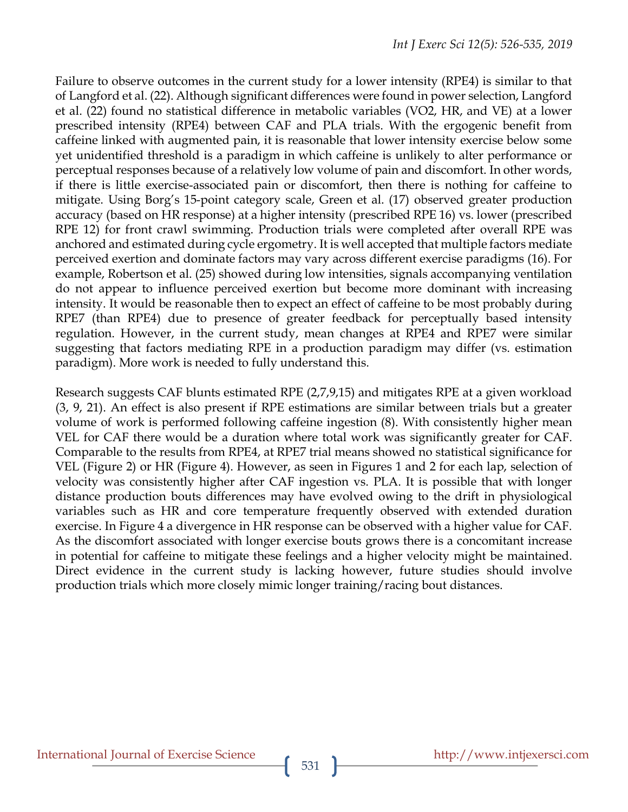Failure to observe outcomes in the current study for a lower intensity (RPE4) is similar to that of Langford et al. (22). Although significant differences were found in power selection, Langford et al. (22) found no statistical difference in metabolic variables (VO2, HR, and VE) at a lower prescribed intensity (RPE4) between CAF and PLA trials. With the ergogenic benefit from caffeine linked with augmented pain, it is reasonable that lower intensity exercise below some yet unidentified threshold is a paradigm in which caffeine is unlikely to alter performance or perceptual responses because of a relatively low volume of pain and discomfort. In other words, if there is little exercise-associated pain or discomfort, then there is nothing for caffeine to mitigate. Using Borg's 15-point category scale, Green et al. (17) observed greater production accuracy (based on HR response) at a higher intensity (prescribed RPE 16) vs. lower (prescribed RPE 12) for front crawl swimming. Production trials were completed after overall RPE was anchored and estimated during cycle ergometry. It is well accepted that multiple factors mediate perceived exertion and dominate factors may vary across different exercise paradigms (16). For example, Robertson et al. (25) showed during low intensities, signals accompanying ventilation do not appear to influence perceived exertion but become more dominant with increasing intensity. It would be reasonable then to expect an effect of caffeine to be most probably during RPE7 (than RPE4) due to presence of greater feedback for perceptually based intensity regulation. However, in the current study, mean changes at RPE4 and RPE7 were similar suggesting that factors mediating RPE in a production paradigm may differ (vs. estimation paradigm). More work is needed to fully understand this.

Research suggests CAF blunts estimated RPE (2,7,9,15) and mitigates RPE at a given workload (3, 9, 21). An effect is also present if RPE estimations are similar between trials but a greater volume of work is performed following caffeine ingestion (8). With consistently higher mean VEL for CAF there would be a duration where total work was significantly greater for CAF. Comparable to the results from RPE4, at RPE7 trial means showed no statistical significance for VEL (Figure 2) or HR (Figure 4). However, as seen in Figures 1 and 2 for each lap, selection of velocity was consistently higher after CAF ingestion vs. PLA. It is possible that with longer distance production bouts differences may have evolved owing to the drift in physiological variables such as HR and core temperature frequently observed with extended duration exercise. In Figure 4 a divergence in HR response can be observed with a higher value for CAF. As the discomfort associated with longer exercise bouts grows there is a concomitant increase in potential for caffeine to mitigate these feelings and a higher velocity might be maintained. Direct evidence in the current study is lacking however, future studies should involve production trials which more closely mimic longer training/racing bout distances.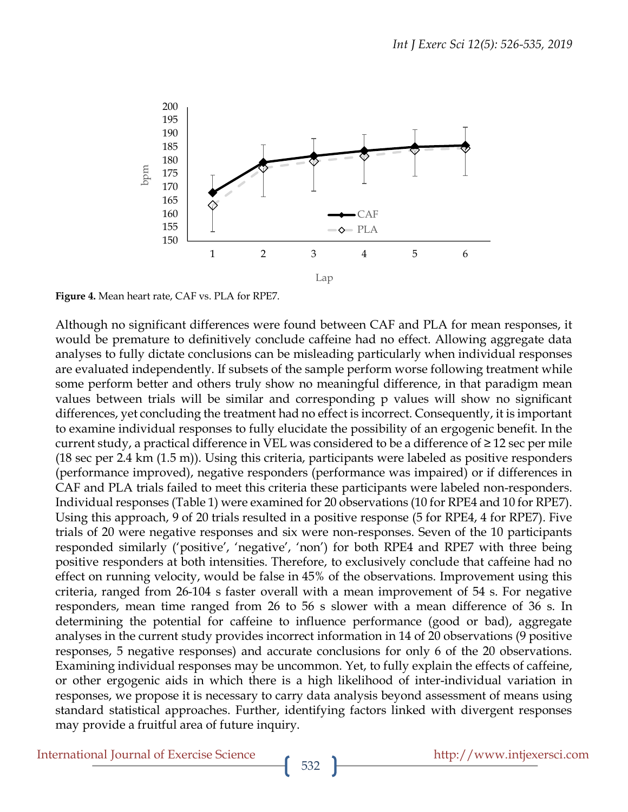

**Figure 4.** Mean heart rate, CAF vs. PLA for RPE7.

Although no significant differences were found between CAF and PLA for mean responses, it would be premature to definitively conclude caffeine had no effect. Allowing aggregate data analyses to fully dictate conclusions can be misleading particularly when individual responses are evaluated independently. If subsets of the sample perform worse following treatment while some perform better and others truly show no meaningful difference, in that paradigm mean values between trials will be similar and corresponding p values will show no significant differences, yet concluding the treatment had no effect is incorrect. Consequently, it is important to examine individual responses to fully elucidate the possibility of an ergogenic benefit. In the current study, a practical difference in VEL was considered to be a difference of  $\geq 12$  sec per mile (18 sec per 2.4 km (1.5 m)). Using this criteria, participants were labeled as positive responders (performance improved), negative responders (performance was impaired) or if differences in CAF and PLA trials failed to meet this criteria these participants were labeled non-responders. Individual responses (Table 1) were examined for 20 observations (10 for RPE4 and 10 for RPE7). Using this approach, 9 of 20 trials resulted in a positive response (5 for RPE4, 4 for RPE7). Five trials of 20 were negative responses and six were non-responses. Seven of the 10 participants responded similarly ('positive', 'negative', 'non') for both RPE4 and RPE7 with three being positive responders at both intensities. Therefore, to exclusively conclude that caffeine had no effect on running velocity, would be false in 45% of the observations. Improvement using this criteria, ranged from 26-104 s faster overall with a mean improvement of 54 s. For negative responders, mean time ranged from 26 to 56 s slower with a mean difference of 36 s. In determining the potential for caffeine to influence performance (good or bad), aggregate analyses in the current study provides incorrect information in 14 of 20 observations (9 positive responses, 5 negative responses) and accurate conclusions for only 6 of the 20 observations. Examining individual responses may be uncommon. Yet, to fully explain the effects of caffeine, or other ergogenic aids in which there is a high likelihood of inter-individual variation in responses, we propose it is necessary to carry data analysis beyond assessment of means using standard statistical approaches. Further, identifying factors linked with divergent responses may provide a fruitful area of future inquiry.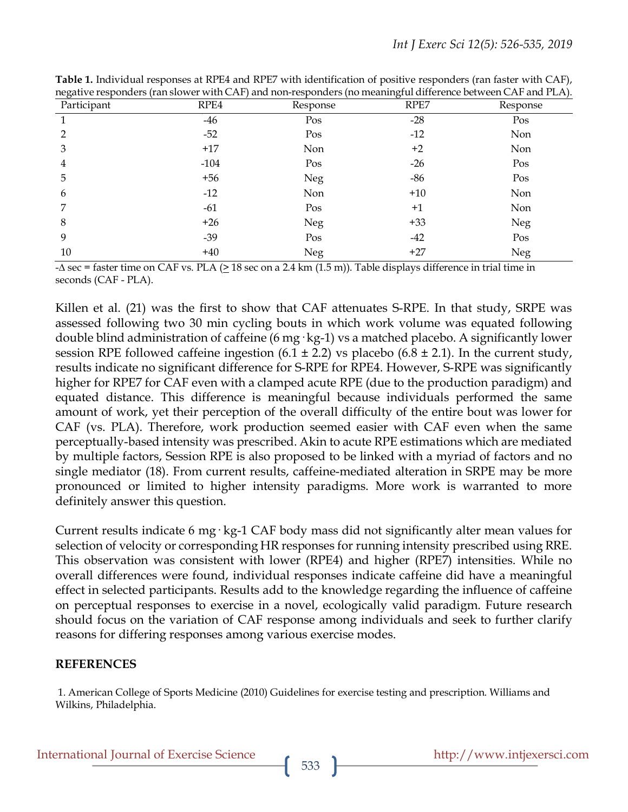| negative responders (faitsiower while CAP) and non-responders (no meaningful difference between CAP and FLA). |        |          |       |          |
|---------------------------------------------------------------------------------------------------------------|--------|----------|-------|----------|
| Participant                                                                                                   | RPE4   | Response | RPE7  | Response |
|                                                                                                               | -46    | Pos      | $-28$ | Pos      |
| $\overline{2}$                                                                                                | $-52$  | Pos      | $-12$ | Non      |
| 3                                                                                                             | $+17$  | Non      | $+2$  | Non      |
| 4                                                                                                             | $-104$ | Pos      | $-26$ | Pos      |
| 5                                                                                                             | $+56$  | Neg      | -86   | Pos      |
| 6                                                                                                             | $-12$  | Non      | $+10$ | Non      |
| 7                                                                                                             | $-61$  | Pos      | $+1$  | Non      |
| 8                                                                                                             | $+26$  | Neg      | $+33$ | Neg      |
| 9                                                                                                             | $-39$  | Pos      | $-42$ | Pos      |
| 10                                                                                                            | $+40$  | Neg      | $+27$ | Neg      |

**Table 1.** Individual responses at RPE4 and RPE7 with identification of positive responders (ran faster with CAF), negative responders (ran slower with CAF) and non-responders (no meaningful difference between CAF and PLA).

 $-\Delta$  sec = faster time on CAF vs. PLA ( $\geq 18$  sec on a 2.4 km (1.5 m)). Table displays difference in trial time in seconds (CAF - PLA).

Killen et al. (21) was the first to show that CAF attenuates S-RPE. In that study, SRPE was assessed following two 30 min cycling bouts in which work volume was equated following double blind administration of caffeine (6 mg· kg-1) vs a matched placebo. A significantly lower session RPE followed caffeine ingestion  $(6.1 \pm 2.2)$  vs placebo  $(6.8 \pm 2.1)$ . In the current study, results indicate no significant difference for S-RPE for RPE4. However, S-RPE was significantly higher for RPE7 for CAF even with a clamped acute RPE (due to the production paradigm) and equated distance. This difference is meaningful because individuals performed the same amount of work, yet their perception of the overall difficulty of the entire bout was lower for CAF (vs. PLA). Therefore, work production seemed easier with CAF even when the same perceptually-based intensity was prescribed. Akin to acute RPE estimations which are mediated by multiple factors, Session RPE is also proposed to be linked with a myriad of factors and no single mediator (18). From current results, caffeine-mediated alteration in SRPE may be more pronounced or limited to higher intensity paradigms. More work is warranted to more definitely answer this question.

Current results indicate 6 mg· kg-1 CAF body mass did not significantly alter mean values for selection of velocity or corresponding HR responses for running intensity prescribed using RRE. This observation was consistent with lower (RPE4) and higher (RPE7) intensities. While no overall differences were found, individual responses indicate caffeine did have a meaningful effect in selected participants. Results add to the knowledge regarding the influence of caffeine on perceptual responses to exercise in a novel, ecologically valid paradigm. Future research should focus on the variation of CAF response among individuals and seek to further clarify reasons for differing responses among various exercise modes.

### **REFERENCES**

1. American College of Sports Medicine (2010) Guidelines for exercise testing and prescription. Williams and Wilkins, Philadelphia.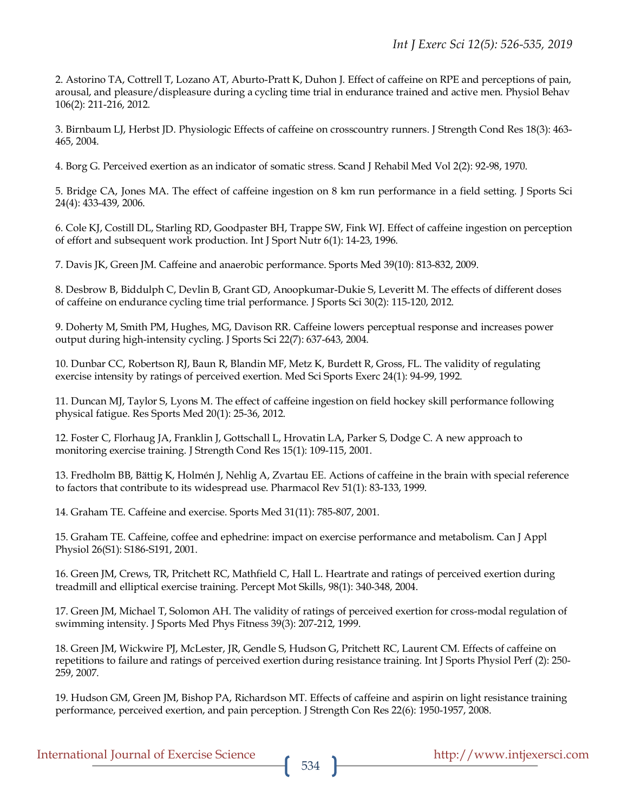2. Astorino TA, Cottrell T, Lozano AT, Aburto-Pratt K, Duhon J. Effect of caffeine on RPE and perceptions of pain, arousal, and pleasure/displeasure during a cycling time trial in endurance trained and active men. Physiol Behav 106(2): 211-216, 2012.

3. Birnbaum LJ, Herbst JD. Physiologic Effects of caffeine on crosscountry runners. J Strength Cond Res 18(3): 463- 465, 2004.

4. Borg G. Perceived exertion as an indicator of somatic stress. Scand J Rehabil Med Vol 2(2): 92-98, 1970.

5. Bridge CA, Jones MA. The effect of caffeine ingestion on 8 km run performance in a field setting. J Sports Sci 24(4): 433-439, 2006.

6. Cole KJ, Costill DL, Starling RD, Goodpaster BH, Trappe SW, Fink WJ. Effect of caffeine ingestion on perception of effort and subsequent work production. Int J Sport Nutr 6(1): 14-23, 1996.

7. Davis JK, Green JM. Caffeine and anaerobic performance. Sports Med 39(10): 813-832, 2009.

8. Desbrow B, Biddulph C, Devlin B, Grant GD, Anoopkumar-Dukie S, Leveritt M. The effects of different doses of caffeine on endurance cycling time trial performance. J Sports Sci 30(2): 115-120, 2012.

9. Doherty M, Smith PM, Hughes, MG, Davison RR. Caffeine lowers perceptual response and increases power output during high-intensity cycling. J Sports Sci 22(7): 637-643, 2004.

10. Dunbar CC, Robertson RJ, Baun R, Blandin MF, Metz K, Burdett R, Gross, FL. The validity of regulating exercise intensity by ratings of perceived exertion. Med Sci Sports Exerc 24(1): 94-99, 1992.

11. Duncan MJ, Taylor S, Lyons M. The effect of caffeine ingestion on field hockey skill performance following physical fatigue. Res Sports Med 20(1): 25-36, 2012.

12. Foster C, Florhaug JA, Franklin J, Gottschall L, Hrovatin LA, Parker S, Dodge C. A new approach to monitoring exercise training. J Strength Cond Res 15(1): 109-115, 2001.

13. Fredholm BB, Bättig K, Holmén J, Nehlig A, Zvartau EE. Actions of caffeine in the brain with special reference to factors that contribute to its widespread use. Pharmacol Rev 51(1): 83-133, 1999.

14. Graham TE. Caffeine and exercise. Sports Med 31(11): 785-807, 2001.

15. Graham TE. Caffeine, coffee and ephedrine: impact on exercise performance and metabolism. Can J Appl Physiol 26(S1): S186-S191, 2001.

16. Green JM, Crews, TR, Pritchett RC, Mathfield C, Hall L. Heartrate and ratings of perceived exertion during treadmill and elliptical exercise training. Percept Mot Skills, 98(1): 340-348, 2004.

17. Green JM, Michael T, Solomon AH. The validity of ratings of perceived exertion for cross-modal regulation of swimming intensity. J Sports Med Phys Fitness 39(3): 207-212, 1999.

18. Green JM, Wickwire PJ, McLester, JR, Gendle S, Hudson G, Pritchett RC, Laurent CM. Effects of caffeine on repetitions to failure and ratings of perceived exertion during resistance training. Int J Sports Physiol Perf (2): 250- 259, 2007.

19. Hudson GM, Green JM, Bishop PA, Richardson MT. Effects of caffeine and aspirin on light resistance training performance, perceived exertion, and pain perception. J Strength Con Res 22(6): 1950-1957, 2008.